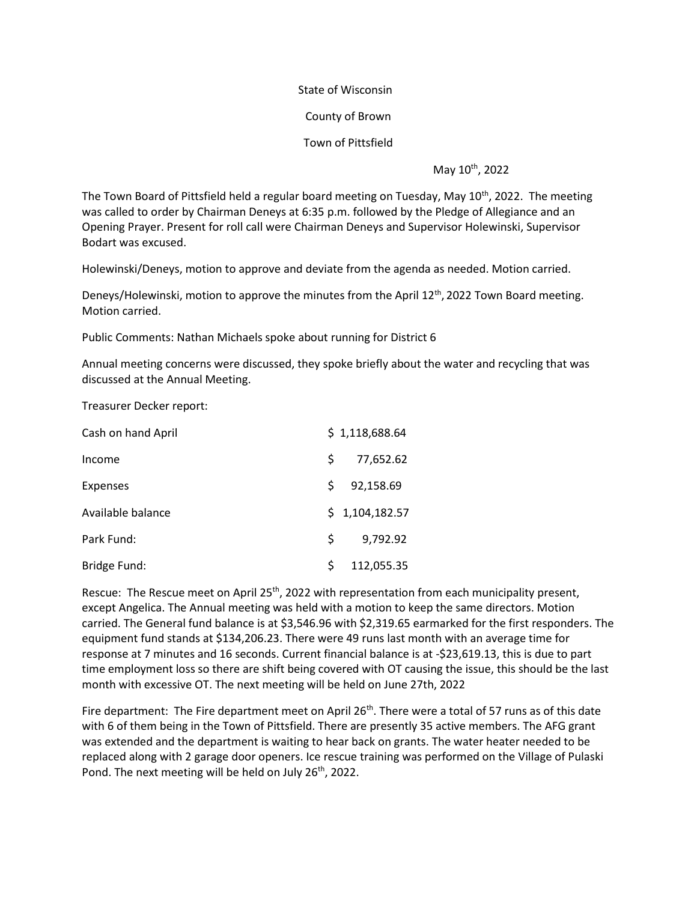## State of Wisconsin

County of Brown

Town of Pittsfield

May 10<sup>th</sup>, 2022

The Town Board of Pittsfield held a regular board meeting on Tuesday, May 10<sup>th</sup>, 2022. The meeting was called to order by Chairman Deneys at 6:35 p.m. followed by the Pledge of Allegiance and an Opening Prayer. Present for roll call were Chairman Deneys and Supervisor Holewinski, Supervisor Bodart was excused.

Holewinski/Deneys, motion to approve and deviate from the agenda as needed. Motion carried.

Deneys/Holewinski, motion to approve the minutes from the April 12<sup>th</sup>, 2022 Town Board meeting. Motion carried.

Public Comments: Nathan Michaels spoke about running for District 6

Annual meeting concerns were discussed, they spoke briefly about the water and recycling that was discussed at the Annual Meeting.

Treasurer Decker report:

| Cash on hand April |    | \$1,118,688.64 |
|--------------------|----|----------------|
| Income             | S. | 77,652.62      |
| <b>Expenses</b>    | S. | 92,158.69      |
| Available balance  |    | \$1,104,182.57 |
| Park Fund:         | S. | 9,792.92       |
| Bridge Fund:       | Ś  | 112,055.35     |

Rescue: The Rescue meet on April 25<sup>th</sup>, 2022 with representation from each municipality present, except Angelica. The Annual meeting was held with a motion to keep the same directors. Motion carried. The General fund balance is at \$3,546.96 with \$2,319.65 earmarked for the first responders. The equipment fund stands at \$134,206.23. There were 49 runs last month with an average time for response at 7 minutes and 16 seconds. Current financial balance is at -\$23,619.13, this is due to part time employment loss so there are shift being covered with OT causing the issue, this should be the last month with excessive OT. The next meeting will be held on June 27th, 2022

Fire department: The Fire department meet on April 26<sup>th</sup>. There were a total of 57 runs as of this date with 6 of them being in the Town of Pittsfield. There are presently 35 active members. The AFG grant was extended and the department is waiting to hear back on grants. The water heater needed to be replaced along with 2 garage door openers. Ice rescue training was performed on the Village of Pulaski Pond. The next meeting will be held on July 26<sup>th</sup>, 2022.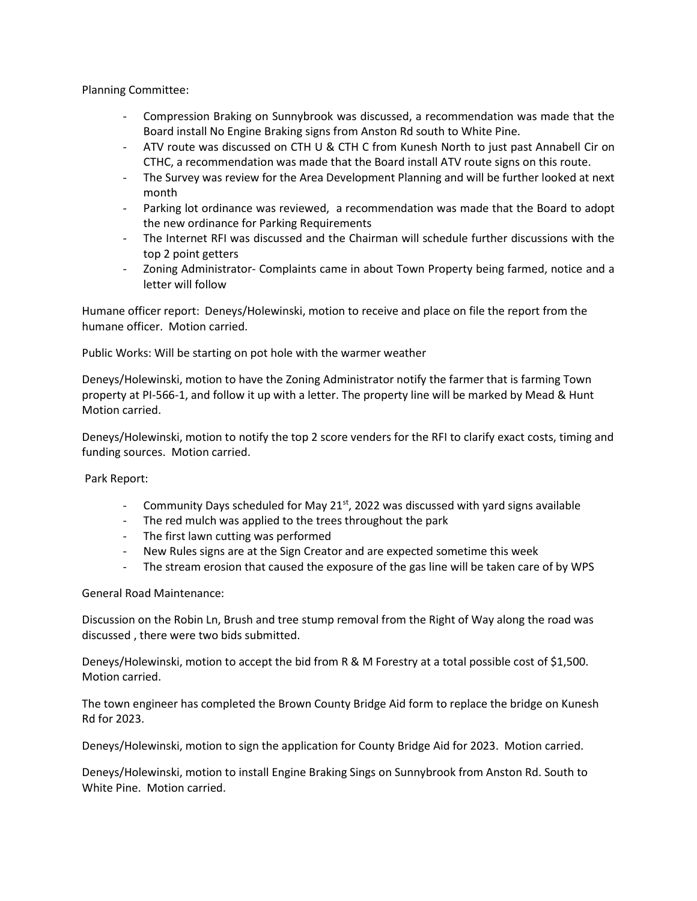Planning Committee:

- Compression Braking on Sunnybrook was discussed, a recommendation was made that the Board install No Engine Braking signs from Anston Rd south to White Pine.
- ATV route was discussed on CTH U & CTH C from Kunesh North to just past Annabell Cir on CTHC, a recommendation was made that the Board install ATV route signs on this route.
- The Survey was review for the Area Development Planning and will be further looked at next month
- Parking lot ordinance was reviewed, a recommendation was made that the Board to adopt the new ordinance for Parking Requirements
- The Internet RFI was discussed and the Chairman will schedule further discussions with the top 2 point getters
- Zoning Administrator- Complaints came in about Town Property being farmed, notice and a letter will follow

Humane officer report: Deneys/Holewinski, motion to receive and place on file the report from the humane officer. Motion carried.

Public Works: Will be starting on pot hole with the warmer weather

Deneys/Holewinski, motion to have the Zoning Administrator notify the farmer that is farming Town property at PI-566-1, and follow it up with a letter. The property line will be marked by Mead & Hunt Motion carried.

Deneys/Holewinski, motion to notify the top 2 score venders for the RFI to clarify exact costs, timing and funding sources. Motion carried.

Park Report:

- Community Days scheduled for May  $21^{st}$ , 2022 was discussed with yard signs available
- The red mulch was applied to the trees throughout the park
- The first lawn cutting was performed
- New Rules signs are at the Sign Creator and are expected sometime this week
- The stream erosion that caused the exposure of the gas line will be taken care of by WPS

General Road Maintenance:

Discussion on the Robin Ln, Brush and tree stump removal from the Right of Way along the road was discussed , there were two bids submitted.

Deneys/Holewinski, motion to accept the bid from R & M Forestry at a total possible cost of \$1,500. Motion carried.

The town engineer has completed the Brown County Bridge Aid form to replace the bridge on Kunesh Rd for 2023.

Deneys/Holewinski, motion to sign the application for County Bridge Aid for 2023. Motion carried.

Deneys/Holewinski, motion to install Engine Braking Sings on Sunnybrook from Anston Rd. South to White Pine. Motion carried.